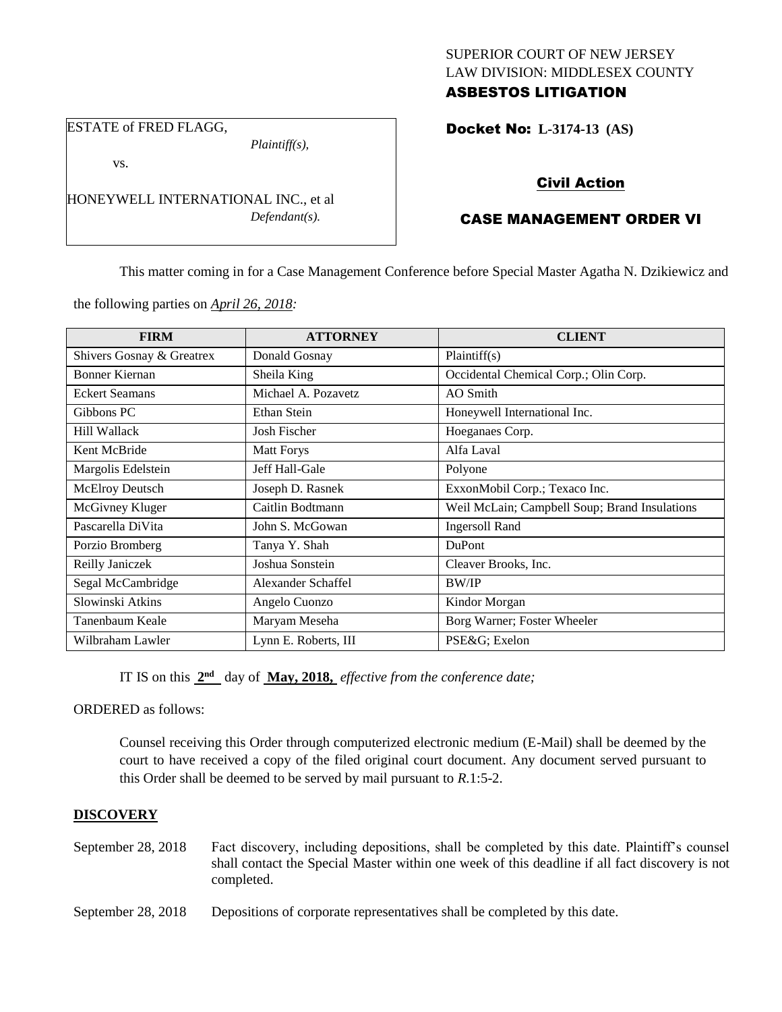## SUPERIOR COURT OF NEW JERSEY LAW DIVISION: MIDDLESEX COUNTY ASBESTOS LITIGATION

ESTATE of FRED FLAGG,

*Plaintiff(s),*

vs.

HONEYWELL INTERNATIONAL INC., et al *Defendant(s).*

# Docket No: **L-3174-13 (AS)**

# Civil Action

# CASE MANAGEMENT ORDER VI

This matter coming in for a Case Management Conference before Special Master Agatha N. Dzikiewicz and

the following parties on *April 26, 2018:*

| <b>FIRM</b>               | <b>ATTORNEY</b>      | <b>CLIENT</b>                                 |
|---------------------------|----------------------|-----------------------------------------------|
| Shivers Gosnay & Greatrex | Donald Gosnay        | Plaintiff(s)                                  |
| <b>Bonner Kiernan</b>     | Sheila King          | Occidental Chemical Corp.; Olin Corp.         |
| <b>Eckert Seamans</b>     | Michael A. Pozavetz  | AO Smith                                      |
| Gibbons PC                | Ethan Stein          | Honeywell International Inc.                  |
| Hill Wallack              | Josh Fischer         | Hoeganaes Corp.                               |
| Kent McBride              | <b>Matt Forys</b>    | Alfa Laval                                    |
| Margolis Edelstein        | Jeff Hall-Gale       | Polyone                                       |
| <b>McElroy Deutsch</b>    | Joseph D. Rasnek     | ExxonMobil Corp.; Texaco Inc.                 |
| McGivney Kluger           | Caitlin Bodtmann     | Weil McLain; Campbell Soup; Brand Insulations |
| Pascarella DiVita         | John S. McGowan      | <b>Ingersoll Rand</b>                         |
| Porzio Bromberg           | Tanya Y. Shah        | <b>DuPont</b>                                 |
| Reilly Janiczek           | Joshua Sonstein      | Cleaver Brooks, Inc.                          |
| Segal McCambridge         | Alexander Schaffel   | <b>BW/IP</b>                                  |
| Slowinski Atkins          | Angelo Cuonzo        | Kindor Morgan                                 |
| Tanenbaum Keale           | Maryam Meseha        | Borg Warner; Foster Wheeler                   |
| Wilbraham Lawler          | Lynn E. Roberts, III | PSE&G Exelon                                  |

IT IS on this  $2<sup>nd</sup>$  day of **May, 2018,** *effective from the conference date;* 

ORDERED as follows:

Counsel receiving this Order through computerized electronic medium (E-Mail) shall be deemed by the court to have received a copy of the filed original court document. Any document served pursuant to this Order shall be deemed to be served by mail pursuant to *R*.1:5-2.

## **DISCOVERY**

- September 28, 2018 Fact discovery, including depositions, shall be completed by this date. Plaintiff's counsel shall contact the Special Master within one week of this deadline if all fact discovery is not completed.
- September 28, 2018 Depositions of corporate representatives shall be completed by this date.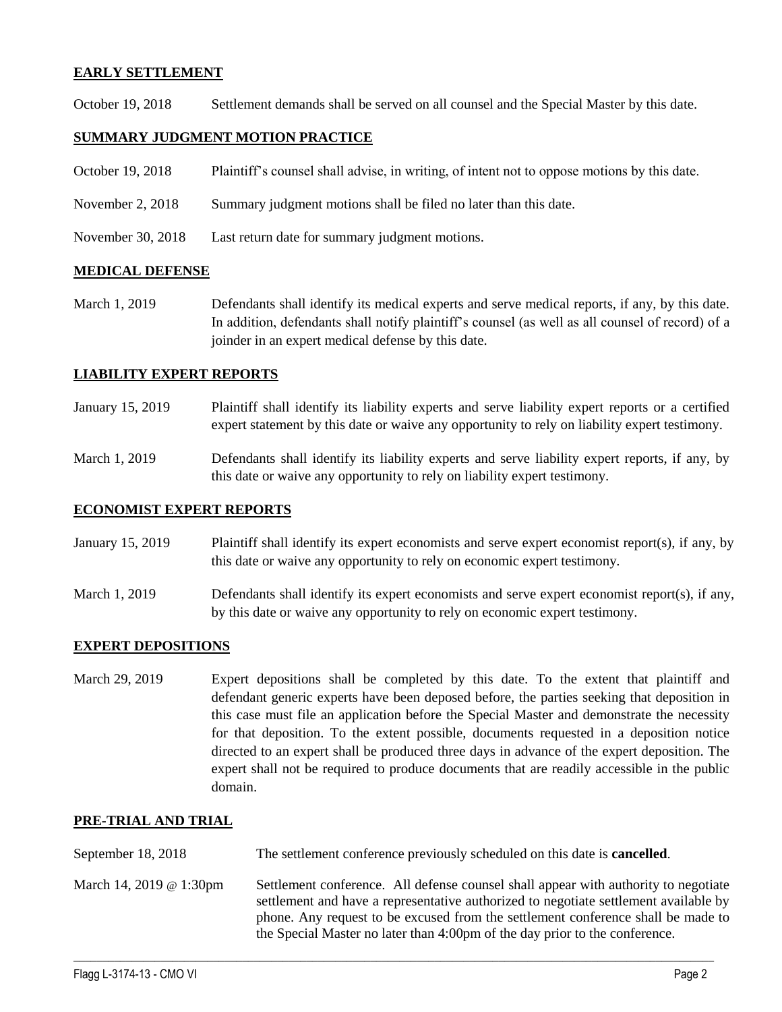### **EARLY SETTLEMENT**

October 19, 2018 Settlement demands shall be served on all counsel and the Special Master by this date.

## **SUMMARY JUDGMENT MOTION PRACTICE**

- October 19, 2018 Plaintiff's counsel shall advise, in writing, of intent not to oppose motions by this date.
- November 2, 2018 Summary judgment motions shall be filed no later than this date.
- November 30, 2018 Last return date for summary judgment motions.

### **MEDICAL DEFENSE**

March 1, 2019 Defendants shall identify its medical experts and serve medical reports, if any, by this date. In addition, defendants shall notify plaintiff's counsel (as well as all counsel of record) of a joinder in an expert medical defense by this date.

## **LIABILITY EXPERT REPORTS**

- January 15, 2019 Plaintiff shall identify its liability experts and serve liability expert reports or a certified expert statement by this date or waive any opportunity to rely on liability expert testimony.
- March 1, 2019 Defendants shall identify its liability experts and serve liability expert reports, if any, by this date or waive any opportunity to rely on liability expert testimony.

### **ECONOMIST EXPERT REPORTS**

- January 15, 2019 Plaintiff shall identify its expert economists and serve expert economist report(s), if any, by this date or waive any opportunity to rely on economic expert testimony.
- March 1, 2019 Defendants shall identify its expert economists and serve expert economist report(s), if any, by this date or waive any opportunity to rely on economic expert testimony.

### **EXPERT DEPOSITIONS**

March 29, 2019 Expert depositions shall be completed by this date. To the extent that plaintiff and defendant generic experts have been deposed before, the parties seeking that deposition in this case must file an application before the Special Master and demonstrate the necessity for that deposition. To the extent possible, documents requested in a deposition notice directed to an expert shall be produced three days in advance of the expert deposition. The expert shall not be required to produce documents that are readily accessible in the public domain.

### **PRE-TRIAL AND TRIAL**

| September 18, 2018      | The settlement conference previously scheduled on this date is <b>cancelled</b> .                                                                                                                                                                                                                                                              |
|-------------------------|------------------------------------------------------------------------------------------------------------------------------------------------------------------------------------------------------------------------------------------------------------------------------------------------------------------------------------------------|
| March 14, 2019 @ 1:30pm | Settlement conference. All defense counsel shall appear with authority to negotiate<br>settlement and have a representative authorized to negotiate settlement available by<br>phone. Any request to be excused from the settlement conference shall be made to<br>the Special Master no later than 4:00pm of the day prior to the conference. |